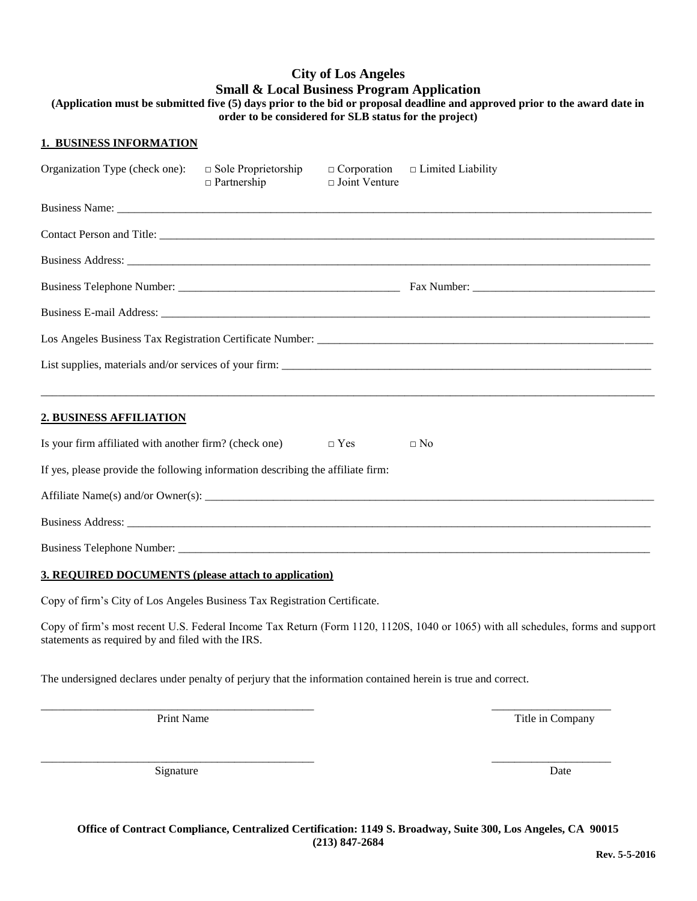## **City of Los Angeles Small & Local Business Program Application**

**(Application must be submitted five (5) days prior to the bid or proposal deadline and approved prior to the award date in order to be considered for SLB status for the project)**

#### **1. BUSINESS INFORMATION**

| Organization Type (check one):                                                  | $\Box$ Sole Proprietorship<br>$\Box$ Partnership | $\Box$ Corporation<br>$\Box$ Joint Venture | $\Box$ Limited Liability |
|---------------------------------------------------------------------------------|--------------------------------------------------|--------------------------------------------|--------------------------|
|                                                                                 |                                                  |                                            |                          |
|                                                                                 |                                                  |                                            |                          |
|                                                                                 |                                                  |                                            |                          |
|                                                                                 |                                                  |                                            |                          |
|                                                                                 |                                                  |                                            |                          |
|                                                                                 |                                                  |                                            |                          |
|                                                                                 |                                                  |                                            |                          |
| 2. BUSINESS AFFILIATION                                                         |                                                  |                                            |                          |
| Is your firm affiliated with another firm? (check one)                          |                                                  | $\Box$ Yes                                 | $\Box$ No                |
| If yes, please provide the following information describing the affiliate firm: |                                                  |                                            |                          |
|                                                                                 |                                                  |                                            |                          |
|                                                                                 |                                                  |                                            |                          |
|                                                                                 |                                                  |                                            |                          |

#### **3. REQUIRED DOCUMENTS (please attach to application)**

Copy of firm's City of Los Angeles Business Tax Registration Certificate.

Copy of firm's most recent U.S. Federal Income Tax Return (Form 1120, 1120S, 1040 or 1065) with all schedules, forms and support statements as required by and filed with the IRS.

The undersigned declares under penalty of perjury that the information contained herein is true and correct.

\_\_\_\_\_\_\_\_\_\_\_\_\_\_\_\_\_\_\_\_\_\_\_\_\_\_\_\_\_\_\_\_\_\_\_\_\_\_\_\_\_\_\_\_\_\_\_\_ \_\_\_\_\_\_\_\_\_\_\_\_\_\_\_\_\_\_\_\_\_ Print Name Title in Company

Signature Date and the Date of the United States of the United States of the United States of the United States of the United States of the United States of the United States of the United States of the United States of th

\_\_\_\_\_\_\_\_\_\_\_\_\_\_\_\_\_\_\_\_\_\_\_\_\_\_\_\_\_\_\_\_\_\_\_\_\_\_\_\_\_\_\_\_\_\_\_\_ \_\_\_\_\_\_\_\_\_\_\_\_\_\_\_\_\_\_\_\_\_